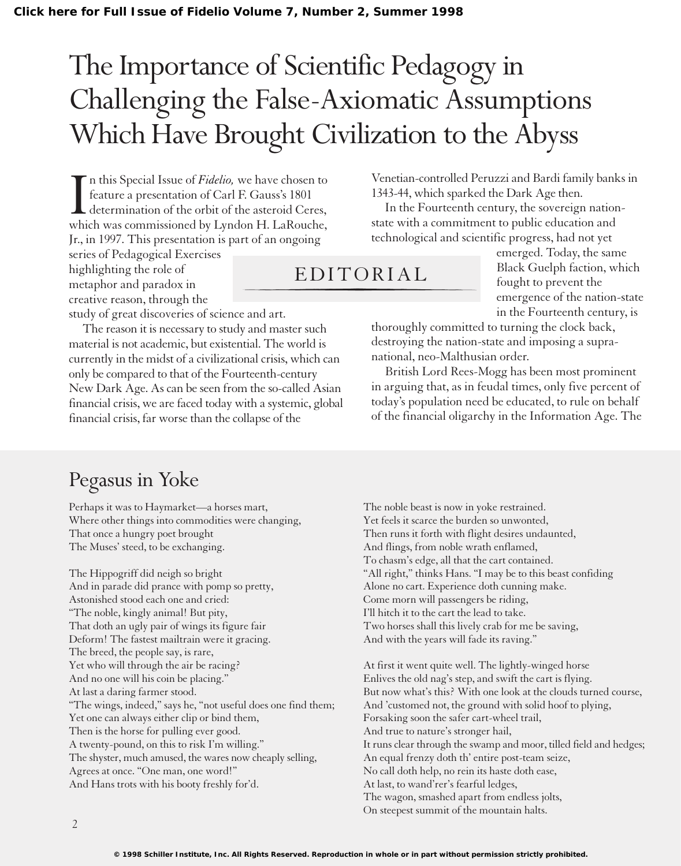## The Importance of Scientific Pedagogy in Challenging the False-Axiomatic Assumptions Which Have Brought Civilization to the Abyss

In this Special Issue of Fidelio, we have chosen to feature a presentation of Carl F. Gauss's 1801 determination of the orbit of the asteroid Ceres, which was commissioned by Lyndon H. LaRouche, n this Special Issue of *Fidelio,* we have chosen to feature a presentation of Carl F. Gauss's 1801 determination of the orbit of the asteroid Ceres, Jr., in 1997. This presentation is part of an ongoing

series of Pedagogical Exercises highlighting the role of metaphor and paradox in creative reason, through the

study of great discoveries of science and art.

The reason it is necessary to study and master such material is not academic, but existential. The world is currently in the midst of a civilizational crisis, which can only be compared to that of the Fourteenth-century New Dark Age. As can be seen from the so-called Asian financial crisis, we are faced today with a systemic, global financial crisis, far worse than the collapse of the

Venetian-controlled Peruzzi and Bardi family banks in 1343-44, which sparked the Dark Age then.

In the Fourteenth century, the sovereign nationstate with a commitment to public education and technological and scientific progress, had not yet

EDITORIAL

emerged. Today, the same Black Guelph faction, which fought to prevent the emergence of the nation-state in the Fourteenth century, is

thoroughly committed to turning the clock back, destroying the nation-state and imposing a supranational, neo-Malthusian order.

British Lord Rees-Mogg has been most prominent in arguing that, as in feudal times, only five percent of today's population need be educated, to rule on behalf of the financial oligarchy in the Information Age. The

## Pegasus in Yoke

Perhaps it was to Haymarket—a horses mart, Where other things into commodities were changing, That once a hungry poet brought The Muses' steed, to be exchanging.

The Hippogriff did neigh so bright And in parade did prance with pomp so pretty, Astonished stood each one and cried: "The noble, kingly animal! But pity, That doth an ugly pair of wings its figure fair Deform! The fastest mailtrain were it gracing. The breed, the people say, is rare, Yet who will through the air be racing? And no one will his coin be placing." At last a daring farmer stood. "The wings, indeed," says he, "not useful does one find them; Yet one can always either clip or bind them, Then is the horse for pulling ever good. A twenty-pound, on this to risk I'm willing." The shyster, much amused, the wares now cheaply selling, Agrees at once. "One man, one word!" And Hans trots with his booty freshly for'd.

The noble beast is now in yoke restrained. Yet feels it scarce the burden so unwonted, Then runs it forth with flight desires undaunted, And flings, from noble wrath enflamed, To chasm's edge, all that the cart contained. "All right," thinks Hans. "I may be to this beast confiding Alone no cart. Experience doth cunning make. Come morn will passengers be riding, I'll hitch it to the cart the lead to take. Two horses shall this lively crab for me be saving, And with the years will fade its raving."

At first it went quite well. The lightly-winged horse Enlives the old nag's step, and swift the cart is flying. But now what's this? With one look at the clouds turned course, And 'customed not, the ground with solid hoof to plying, Forsaking soon the safer cart-wheel trail, And true to nature's stronger hail, It runs clear through the swamp and moor, tilled field and hedges; An equal frenzy doth th' entire post-team seize, No call doth help, no rein its haste doth ease, At last, to wand'rer's fearful ledges, The wagon, smashed apart from endless jolts, On steepest summit of the mountain halts.